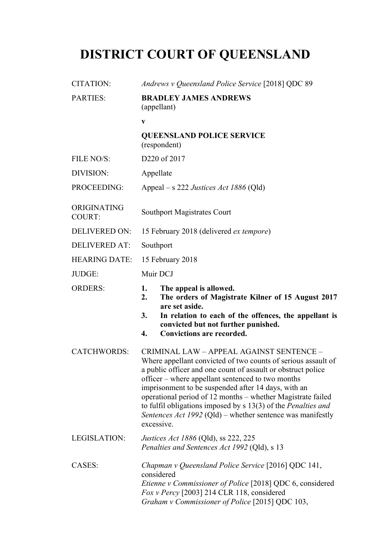# **DISTRICT COURT OF QUEENSLAND**

| <b>CITATION:</b>      | Andrews v Queensland Police Service [2018] QDC 89                                                                                                                                                                                                                                                                                                                                                                                                                                                          |
|-----------------------|------------------------------------------------------------------------------------------------------------------------------------------------------------------------------------------------------------------------------------------------------------------------------------------------------------------------------------------------------------------------------------------------------------------------------------------------------------------------------------------------------------|
| PARTIES:              | <b>BRADLEY JAMES ANDREWS</b><br>(appellant)                                                                                                                                                                                                                                                                                                                                                                                                                                                                |
|                       | $\mathbf{V}$                                                                                                                                                                                                                                                                                                                                                                                                                                                                                               |
|                       | <b>QUEENSLAND POLICE SERVICE</b><br>(respondent)                                                                                                                                                                                                                                                                                                                                                                                                                                                           |
| FILE NO/S:            | D220 of 2017                                                                                                                                                                                                                                                                                                                                                                                                                                                                                               |
| DIVISION:             | Appellate                                                                                                                                                                                                                                                                                                                                                                                                                                                                                                  |
| PROCEEDING:           | Appeal – s 222 Justices Act 1886 (Qld)                                                                                                                                                                                                                                                                                                                                                                                                                                                                     |
| ORIGINATING<br>COURT: | <b>Southport Magistrates Court</b>                                                                                                                                                                                                                                                                                                                                                                                                                                                                         |
| <b>DELIVERED ON:</b>  | 15 February 2018 (delivered <i>ex tempore</i> )                                                                                                                                                                                                                                                                                                                                                                                                                                                            |
| <b>DELIVERED AT:</b>  | Southport                                                                                                                                                                                                                                                                                                                                                                                                                                                                                                  |
| <b>HEARING DATE:</b>  | 15 February 2018                                                                                                                                                                                                                                                                                                                                                                                                                                                                                           |
| JUDGE:                | Muir DCJ                                                                                                                                                                                                                                                                                                                                                                                                                                                                                                   |
| <b>ORDERS:</b>        | 1.<br>The appeal is allowed.<br>The orders of Magistrate Kilner of 15 August 2017<br>2.                                                                                                                                                                                                                                                                                                                                                                                                                    |
|                       | are set aside.<br>3.<br>In relation to each of the offences, the appellant is<br>convicted but not further punished.<br><b>Convictions are recorded.</b><br>4.                                                                                                                                                                                                                                                                                                                                             |
| <b>CATCHWORDS:</b>    | CRIMINAL LAW - APPEAL AGAINST SENTENCE -<br>Where appellant convicted of two counts of serious assault of<br>a public officer and one count of assault or obstruct police<br>officer – where appellant sentenced to two months<br>imprisonment to be suspended after 14 days, with an<br>operational period of 12 months – whether Magistrate failed<br>to fulfil obligations imposed by $s$ 13(3) of the <i>Penalties and</i><br>Sentences Act 1992 (Qld) – whether sentence was manifestly<br>excessive. |
| LEGISLATION:          | <i>Justices Act 1886</i> (Qld), ss 222, 225<br>Penalties and Sentences Act 1992 (Qld), s 13                                                                                                                                                                                                                                                                                                                                                                                                                |
| CASES:                | Chapman v Queensland Police Service [2016] QDC 141,<br>considered<br><i>Etienne v Commissioner of Police</i> [2018] QDC 6, considered<br>Fox v Percy [2003] 214 CLR 118, considered<br>Graham v Commissioner of Police [2015] QDC 103,                                                                                                                                                                                                                                                                     |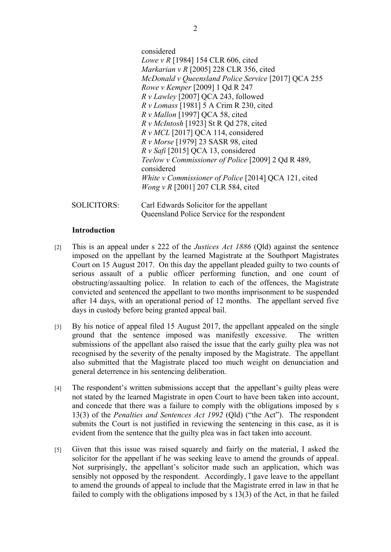|                    | considered                                                       |
|--------------------|------------------------------------------------------------------|
|                    | <i>Lowe v R</i> [1984] 154 CLR 606, cited                        |
|                    | Markarian v R $[2005]$ 228 CLR 356, cited                        |
|                    | McDonald v Queensland Police Service [2017] QCA 255              |
|                    | Rowe v Kemper [2009] 1 Qd R 247                                  |
|                    | $Rv$ <i>Lawley</i> [2007] QCA 243, followed                      |
|                    | $Rv$ Lomass [1981] 5 A Crim R 230, cited                         |
|                    | $R v$ <i>Mallon</i> [1997] QCA 58, cited                         |
|                    | R v McIntosh [1923] St R Qd 278, cited                           |
|                    | $R v MCL$ [2017] QCA 114, considered                             |
|                    | R v Morse [1979] 23 SASR 98, cited                               |
|                    | $R v$ Safi [2015] QCA 13, considered                             |
|                    | Teelow v Commissioner of Police [2009] 2 Qd R 489,<br>considered |
|                    | White v Commissioner of Police [2014] QCA 121, cited             |
|                    | <i>Wong v R</i> [2001] 207 CLR 584, cited                        |
| <b>SOLICITORS:</b> | Carl Edwards Solicitor for the appellant                         |

Queensland Police Service for the respondent

#### **Introduction**

- [2] This is an appeal under s 222 of the *Justices Act 1886* (Qld) against the sentence imposed on the appellant by the learned Magistrate at the Southport Magistrates Court on 15 August 2017. On this day the appellant pleaded guilty to two counts of serious assault of a public officer performing function, and one count of obstructing/assaulting police. In relation to each of the offences, the Magistrate convicted and sentenced the appellant to two months imprisonment to be suspended after 14 days, with an operational period of 12 months. The appellant served five days in custody before being granted appeal bail.
- [3] By his notice of appeal filed 15 August 2017, the appellant appealed on the single ground that the sentence imposed was manifestly excessive. The written submissions of the appellant also raised the issue that the early guilty plea was not recognised by the severity of the penalty imposed by the Magistrate. The appellant also submitted that the Magistrate placed too much weight on denunciation and general deterrence in his sentencing deliberation.
- [4] The respondent's written submissions accept that the appellant's guilty pleas were not stated by the learned Magistrate in open Court to have been taken into account, and concede that there was a failure to comply with the obligations imposed by s 13(3) of the *Penalties and Sentences Act 1992* (Qld) ("the Act"). The respondent submits the Court is not justified in reviewing the sentencing in this case, as it is evident from the sentence that the guilty plea was in fact taken into account.
- [5] Given that this issue was raised squarely and fairly on the material, I asked the solicitor for the appellant if he was seeking leave to amend the grounds of appeal. Not surprisingly, the appellant's solicitor made such an application, which was sensibly not opposed by the respondent. Accordingly, I gave leave to the appellant to amend the grounds of appeal to include that the Magistrate erred in law in that he failed to comply with the obligations imposed by s 13(3) of the Act, in that he failed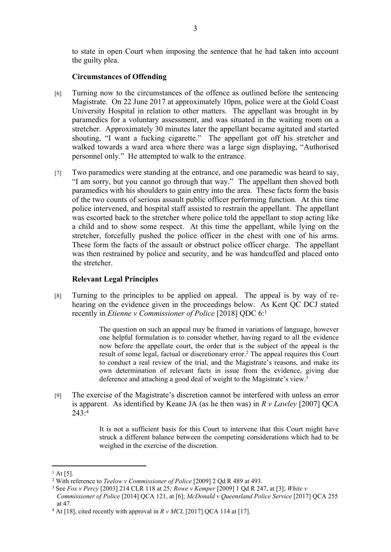to state in open Court when imposing the sentence that he had taken into account the guilty plea.

# **Circumstances of Offending**

- [6] Turning now to the circumstances of the offence as outlined before the sentencing Magistrate. On 22 June 2017 at approximately 10pm, police were at the Gold Coast University Hospital in relation to other matters. The appellant was brought in by paramedics for a voluntary assessment, and was situated in the waiting room on a stretcher. Approximately 30 minutes later the appellant became agitated and started shouting, "I want a fucking cigarette." The appellant got off his stretcher and walked towards a ward area where there was a large sign displaying, "Authorised personnel only." He attempted to walk to the entrance.
- [7] Two paramedics were standing at the entrance, and one paramedic was heard to say, "I am sorry, but you cannot go through that way." The appellant then shoved both paramedics with his shoulders to gain entry into the area. These facts form the basis of the two counts of serious assault public officer performing function. At this time police intervened, and hospital staff assisted to restrain the appellant. The appellant was escorted back to the stretcher where police told the appellant to stop acting like a child and to show some respect. At this time the appellant, while lying on the stretcher, forcefully pushed the police officer in the chest with one of his arms. These form the facts of the assault or obstruct police officer charge. The appellant was then restrained by police and security, and he was handcuffed and placed onto the stretcher.

# **Relevant Legal Principles**

[8] Turning to the principles to be applied on appeal. The appeal is by way of rehearing on the evidence given in the proceedings below. As Kent QC DCJ stated recently in *Etienne v Commissioner of Police* [2018] QDC 6:<sup>1</sup>

> The question on such an appeal may be framed in variations of language, however one helpful formulation is to consider whether, having regard to all the evidence now before the appellate court, the order that is the subject of the appeal is the result of some legal, factual or discretionary error.<sup>2</sup> The appeal requires this Court to conduct a real review of the trial, and the Magistrate's reasons, and make its own determination of relevant facts in issue from the evidence, giving due deference and attaching a good deal of weight to the Magistrate's view.<sup>3</sup>

[9] The exercise of the Magistrate's discretion cannot be interfered with unless an error is apparent. As identified by Keane JA (as he then was) in *R v Lawley* [2007] QCA 243:<sup>4</sup>

> It is not a sufficient basis for this Court to intervene that this Court might have struck a different balance between the competing considerations which had to be weighed in the exercise of the discretion.

 $^{1}$  At [5].

<sup>2</sup> With reference to *Teelow v Commissioner of Police* [2009] 2 Qd R 489 at 493.

<sup>3</sup> See *Fox v Percy* [2003] 214 CLR 118 at 25*; Rowe v Kemper* [2009] 1 Qd R 247, at [3]; *White v Commissioner of Police* [2014] QCA 121, at [6]; *McDonald v Queensland Police Service* [2017] QCA 255 at 47.

 $4$  At [18], cited recently with approval in  $R v MCL$  [2017] QCA 114 at [17].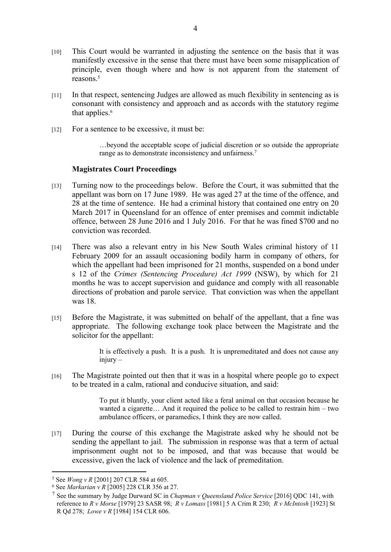- [10] This Court would be warranted in adjusting the sentence on the basis that it was manifestly excessive in the sense that there must have been some misapplication of principle, even though where and how is not apparent from the statement of reasons.<sup>5</sup>
- [11] In that respect, sentencing Judges are allowed as much flexibility in sentencing as is consonant with consistency and approach and as accords with the statutory regime that applies.<sup>6</sup>
- [12] For a sentence to be excessive, it must be:

…beyond the acceptable scope of judicial discretion or so outside the appropriate range as to demonstrate inconsistency and unfairness.<sup>7</sup>

#### **Magistrates Court Proceedings**

- [13] Turning now to the proceedings below. Before the Court, it was submitted that the appellant was born on 17 June 1989. He was aged 27 at the time of the offence, and 28 at the time of sentence. He had a criminal history that contained one entry on 20 March 2017 in Queensland for an offence of enter premises and commit indictable offence, between 28 June 2016 and 1 July 2016. For that he was fined \$700 and no conviction was recorded.
- [14] There was also a relevant entry in his New South Wales criminal history of 11 February 2009 for an assault occasioning bodily harm in company of others, for which the appellant had been imprisoned for 21 months, suspended on a bond under s 12 of the *Crimes (Sentencing Procedure) Act 1999* (NSW), by which for 21 months he was to accept supervision and guidance and comply with all reasonable directions of probation and parole service. That conviction was when the appellant was 18.
- [15] Before the Magistrate, it was submitted on behalf of the appellant, that a fine was appropriate. The following exchange took place between the Magistrate and the solicitor for the appellant:

It is effectively a push. It is a push. It is unpremeditated and does not cause any injury –

[16] The Magistrate pointed out then that it was in a hospital where people go to expect to be treated in a calm, rational and conducive situation, and said:

> To put it bluntly, your client acted like a feral animal on that occasion because he wanted a cigarette... And it required the police to be called to restrain him – two ambulance officers, or paramedics, I think they are now called.

[17] During the course of this exchange the Magistrate asked why he should not be sending the appellant to jail. The submission in response was that a term of actual imprisonment ought not to be imposed, and that was because that would be excessive, given the lack of violence and the lack of premeditation.

<sup>5</sup> See *Wong v R* [2001] 207 CLR 584 at 605.

<sup>6</sup> See *Markarian v R* [2005] 228 CLR 356 at 27.

<sup>7</sup> See the summary by Judge Durward SC in *Chapman v Queensland Police Service* [2016] QDC 141, with reference to *R v Morse* [1979] 23 SASR 98; *R v Lomass* [1981] 5 A Crim R 230; *R v McIntosh* [1923] St R Qd 278; *Lowe v R* [1984] 154 CLR 606.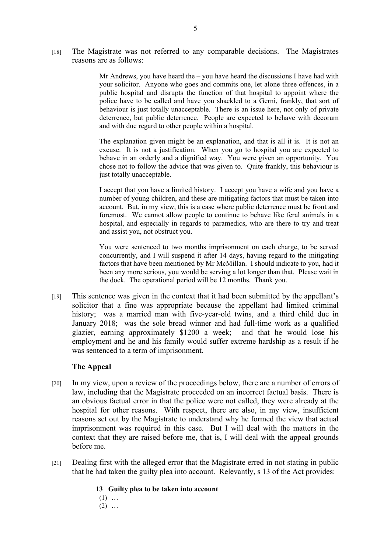[18] The Magistrate was not referred to any comparable decisions. The Magistrates reasons are as follows:

> Mr Andrews, you have heard the – you have heard the discussions I have had with your solicitor. Anyone who goes and commits one, let alone three offences, in a public hospital and disrupts the function of that hospital to appoint where the police have to be called and have you shackled to a Gerni, frankly, that sort of behaviour is just totally unacceptable. There is an issue here, not only of private deterrence, but public deterrence. People are expected to behave with decorum and with due regard to other people within a hospital.

> The explanation given might be an explanation, and that is all it is. It is not an excuse. It is not a justification. When you go to hospital you are expected to behave in an orderly and a dignified way. You were given an opportunity. You chose not to follow the advice that was given to. Quite frankly, this behaviour is just totally unacceptable.

> I accept that you have a limited history. I accept you have a wife and you have a number of young children, and these are mitigating factors that must be taken into account. But, in my view, this is a case where public deterrence must be front and foremost. We cannot allow people to continue to behave like feral animals in a hospital, and especially in regards to paramedics, who are there to try and treat and assist you, not obstruct you.

> You were sentenced to two months imprisonment on each charge, to be served concurrently, and I will suspend it after 14 days, having regard to the mitigating factors that have been mentioned by Mr McMillan. I should indicate to you, had it been any more serious, you would be serving a lot longer than that. Please wait in the dock. The operational period will be 12 months. Thank you.

[19] This sentence was given in the context that it had been submitted by the appellant's solicitor that a fine was appropriate because the appellant had limited criminal history; was a married man with five-year-old twins, and a third child due in January 2018; was the sole bread winner and had full-time work as a qualified glazier, earning approximately \$1200 a week; and that he would lose his employment and he and his family would suffer extreme hardship as a result if he was sentenced to a term of imprisonment.

# **The Appeal**

- [20] In my view, upon a review of the proceedings below, there are a number of errors of law, including that the Magistrate proceeded on an incorrect factual basis. There is an obvious factual error in that the police were not called, they were already at the hospital for other reasons. With respect, there are also, in my view, insufficient reasons set out by the Magistrate to understand why he formed the view that actual imprisonment was required in this case. But I will deal with the matters in the context that they are raised before me, that is, I will deal with the appeal grounds before me.
- [21] Dealing first with the alleged error that the Magistrate erred in not stating in public that he had taken the guilty plea into account. Relevantly, s 13 of the Act provides:

**13 Guilty plea to be taken into account** 

 $(1)$  ...  $(2)$  ...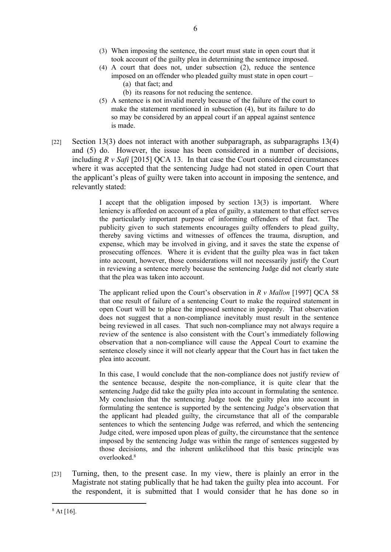- (3) When imposing the sentence, the court must state in open court that it took account of the guilty plea in determining the sentence imposed.
- (4) A court that does not, under subsection (2), reduce the sentence imposed on an offender who pleaded guilty must state in open court – (a) that fact; and
	- (b) its reasons for not reducing the sentence.
- (5) A sentence is not invalid merely because of the failure of the court to make the statement mentioned in subsection (4), but its failure to do so may be considered by an appeal court if an appeal against sentence is made.
- [22] Section 13(3) does not interact with another subparagraph, as subparagraphs 13(4) and (5) do. However, the issue has been considered in a number of decisions, including *R v Safi* [2015] QCA 13. In that case the Court considered circumstances where it was accepted that the sentencing Judge had not stated in open Court that the applicant's pleas of guilty were taken into account in imposing the sentence, and relevantly stated:

I accept that the obligation imposed by section 13(3) is important. Where leniency is afforded on account of a plea of guilty, a statement to that effect serves the particularly important purpose of informing offenders of that fact. The publicity given to such statements encourages guilty offenders to plead guilty, thereby saving victims and witnesses of offences the trauma, disruption, and expense, which may be involved in giving, and it saves the state the expense of prosecuting offences. Where it is evident that the guilty plea was in fact taken into account, however, those considerations will not necessarily justify the Court in reviewing a sentence merely because the sentencing Judge did not clearly state that the plea was taken into account.

The applicant relied upon the Court's observation in *R v Mallon* [1997] QCA 58 that one result of failure of a sentencing Court to make the required statement in open Court will be to place the imposed sentence in jeopardy. That observation does not suggest that a non-compliance inevitably must result in the sentence being reviewed in all cases. That such non-compliance may not always require a review of the sentence is also consistent with the Court's immediately following observation that a non-compliance will cause the Appeal Court to examine the sentence closely since it will not clearly appear that the Court has in fact taken the plea into account.

In this case, I would conclude that the non-compliance does not justify review of the sentence because, despite the non-compliance, it is quite clear that the sentencing Judge did take the guilty plea into account in formulating the sentence. My conclusion that the sentencing Judge took the guilty plea into account in formulating the sentence is supported by the sentencing Judge's observation that the applicant had pleaded guilty, the circumstance that all of the comparable sentences to which the sentencing Judge was referred, and which the sentencing Judge cited, were imposed upon pleas of guilty, the circumstance that the sentence imposed by the sentencing Judge was within the range of sentences suggested by those decisions, and the inherent unlikelihood that this basic principle was overlooked.<sup>8</sup>

[23] Turning, then, to the present case. In my view, there is plainly an error in the Magistrate not stating publically that he had taken the guilty plea into account. For the respondent, it is submitted that I would consider that he has done so in

 $8$  At [16].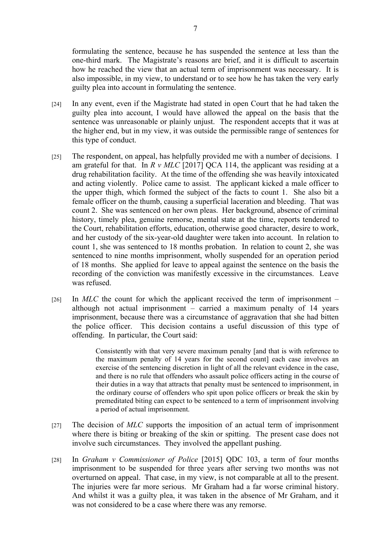formulating the sentence, because he has suspended the sentence at less than the one-third mark. The Magistrate's reasons are brief, and it is difficult to ascertain how he reached the view that an actual term of imprisonment was necessary. It is also impossible, in my view, to understand or to see how he has taken the very early guilty plea into account in formulating the sentence.

- [24] In any event, even if the Magistrate had stated in open Court that he had taken the guilty plea into account, I would have allowed the appeal on the basis that the sentence was unreasonable or plainly unjust. The respondent accepts that it was at the higher end, but in my view, it was outside the permissible range of sentences for this type of conduct.
- [25] The respondent, on appeal, has helpfully provided me with a number of decisions. I am grateful for that. In *R v MLC* [2017] QCA 114, the applicant was residing at a drug rehabilitation facility. At the time of the offending she was heavily intoxicated and acting violently. Police came to assist. The applicant kicked a male officer to the upper thigh, which formed the subject of the facts to count 1. She also bit a female officer on the thumb, causing a superficial laceration and bleeding. That was count 2. She was sentenced on her own pleas. Her background, absence of criminal history, timely plea, genuine remorse, mental state at the time, reports tendered to the Court, rehabilitation efforts, education, otherwise good character, desire to work, and her custody of the six-year-old daughter were taken into account. In relation to count 1, she was sentenced to 18 months probation. In relation to count 2, she was sentenced to nine months imprisonment, wholly suspended for an operation period of 18 months. She applied for leave to appeal against the sentence on the basis the recording of the conviction was manifestly excessive in the circumstances. Leave was refused.
- [26] In *MLC* the count for which the applicant received the term of imprisonment although not actual imprisonment – carried a maximum penalty of 14 years imprisonment, because there was a circumstance of aggravation that she had bitten the police officer. This decision contains a useful discussion of this type of offending. In particular, the Court said:

Consistently with that very severe maximum penalty [and that is with reference to the maximum penalty of 14 years for the second count] each case involves an exercise of the sentencing discretion in light of all the relevant evidence in the case, and there is no rule that offenders who assault police officers acting in the course of their duties in a way that attracts that penalty must be sentenced to imprisonment, in the ordinary course of offenders who spit upon police officers or break the skin by premeditated biting can expect to be sentenced to a term of imprisonment involving a period of actual imprisonment.

- [27] The decision of *MLC* supports the imposition of an actual term of imprisonment where there is biting or breaking of the skin or spitting. The present case does not involve such circumstances. They involved the appellant pushing.
- [28] In *Graham v Commissioner of Police* [2015] QDC 103, a term of four months imprisonment to be suspended for three years after serving two months was not overturned on appeal. That case, in my view, is not comparable at all to the present. The injuries were far more serious. Mr Graham had a far worse criminal history. And whilst it was a guilty plea, it was taken in the absence of Mr Graham, and it was not considered to be a case where there was any remorse.